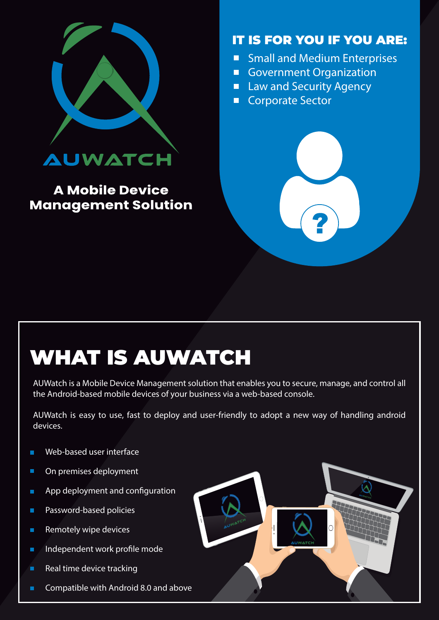

### **A Mobile Device Management Solution**

### IT IS FOR YOU IF YOU ARE:

- **Small and Medium Enterprises**  $\Box$
- **Government Organization**  $\Box$
- **Law and Security Agency** n
- **Corporate Sector**  $\Box$



# WHAT IS AUWATCH

AUWatch is a Mobile Device Management solution that enables you to secure, manage, and control all the Android-based mobile devices of your business via a web-based console.

AUWatch is easy to use, fast to deploy and user-friendly to adopt a new way of handling android devices.

- Web-based user interface  $\Box$
- $\blacksquare$ On premises deployment
- É App deployment and configuration
- $\Box$ Password-based policies
- Remotely wipe devices  $\blacksquare$
- Independent work profile mode  $\blacksquare$
- Real time device tracking  $\blacksquare$
- Compatible with Android 8.0 and above п